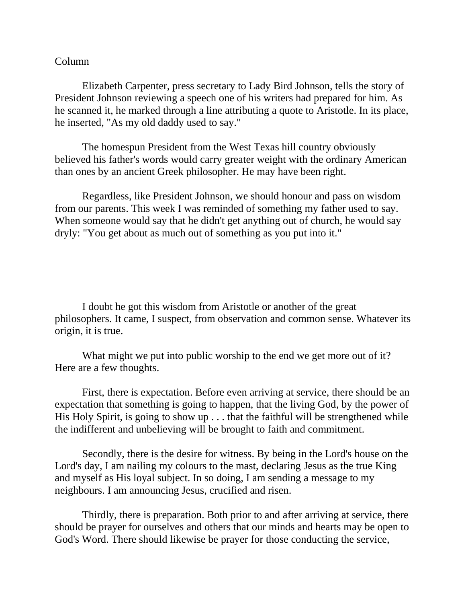## Column

Elizabeth Carpenter, press secretary to Lady Bird Johnson, tells the story of President Johnson reviewing a speech one of his writers had prepared for him. As he scanned it, he marked through a line attributing a quote to Aristotle. In its place, he inserted, "As my old daddy used to say."

The homespun President from the West Texas hill country obviously believed his father's words would carry greater weight with the ordinary American than ones by an ancient Greek philosopher. He may have been right.

Regardless, like President Johnson, we should honour and pass on wisdom from our parents. This week I was reminded of something my father used to say. When someone would say that he didn't get anything out of church, he would say dryly: "You get about as much out of something as you put into it."

I doubt he got this wisdom from Aristotle or another of the great philosophers. It came, I suspect, from observation and common sense. Whatever its origin, it is true.

What might we put into public worship to the end we get more out of it? Here are a few thoughts.

First, there is expectation. Before even arriving at service, there should be an expectation that something is going to happen, that the living God, by the power of His Holy Spirit, is going to show  $up \dots$  that the faithful will be strengthened while the indifferent and unbelieving will be brought to faith and commitment.

Secondly, there is the desire for witness. By being in the Lord's house on the Lord's day, I am nailing my colours to the mast, declaring Jesus as the true King and myself as His loyal subject. In so doing, I am sending a message to my neighbours. I am announcing Jesus, crucified and risen.

Thirdly, there is preparation. Both prior to and after arriving at service, there should be prayer for ourselves and others that our minds and hearts may be open to God's Word. There should likewise be prayer for those conducting the service,